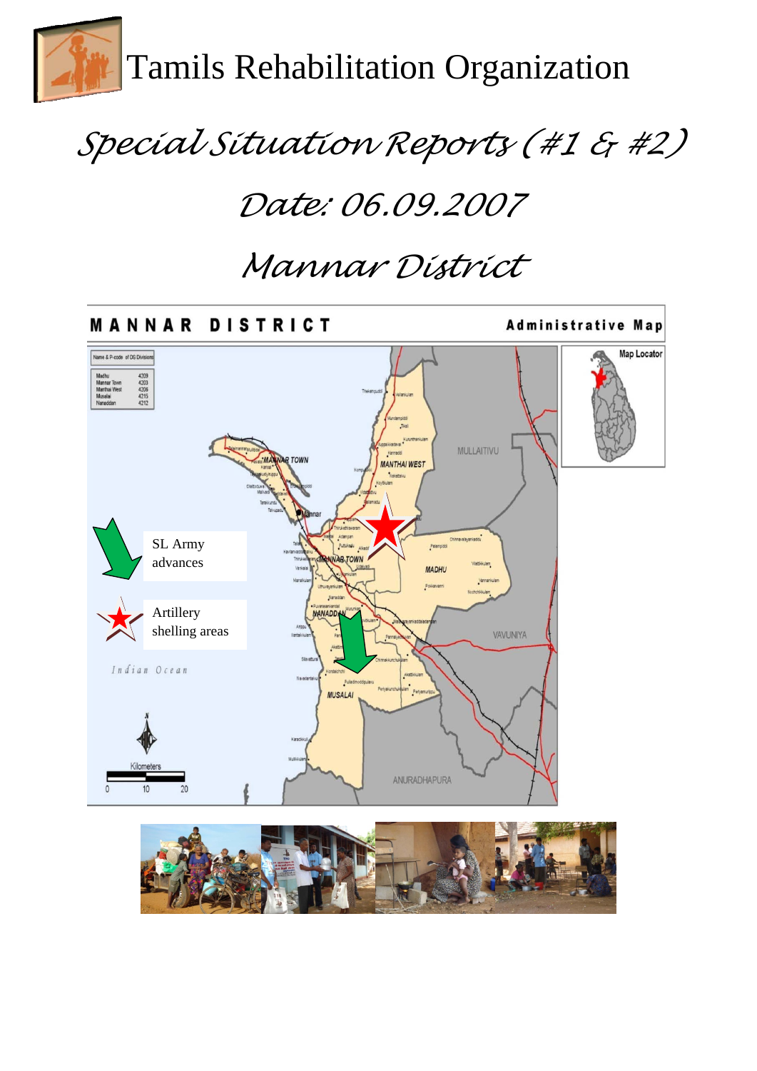

# *Special Situation Reports (#1 & #2)*

# *Date: 06.09.2007*

# *Mannar District*



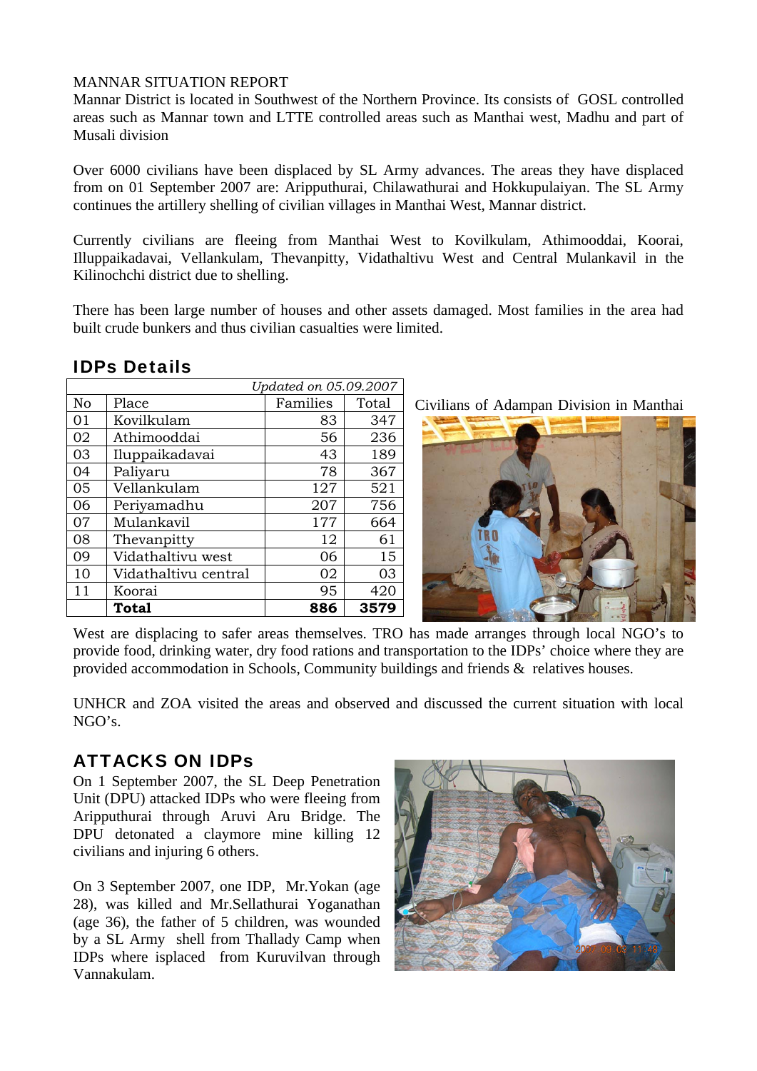#### MANNAR SITUATION REPORT

Mannar District is located in Southwest of the Northern Province. Its consists of GOSL controlled areas such as Mannar town and LTTE controlled areas such as Manthai west, Madhu and part of Musali division

Over 6000 civilians have been displaced by SL Army advances. The areas they have displaced from on 01 September 2007 are: Aripputhurai, Chilawathurai and Hokkupulaiyan. The SL Army continues the artillery shelling of civilian villages in Manthai West, Mannar district.

Currently civilians are fleeing from Manthai West to Kovilkulam, Athimooddai, Koorai, Illuppaikadavai, Vellankulam, Thevanpitty, Vidathaltivu West and Central Mulankavil in the Kilinochchi district due to shelling.

There has been large number of houses and other assets damaged. Most families in the area had built crude bunkers and thus civilian casualties were limited.

|    |                      | Updated on 05.09.2007 |       |
|----|----------------------|-----------------------|-------|
| No | Place                | Families              | Total |
| 01 | Kovilkulam           | 83                    | 347   |
| 02 | Athimooddai          | 56                    | 236   |
| 03 | Iluppaikadavai       | 43                    | 189   |
| 04 | Paliyaru             | 78                    | 367   |
| 05 | Vellankulam          | 127                   | 521   |
| 06 | Periyamadhu          | 207                   | 756   |
| 07 | Mulankavil           | 177                   | 664   |
| 08 | Thevanpitty          | 12                    | 61    |
| 09 | Vidathaltivu west    | 06                    | 15    |
| 10 | Vidathaltivu central | 02                    | 03    |
| 11 | Koorai               | 95                    | 420   |
|    | Total                | 886                   | 3579  |

### IDPs Details

Civilians of Adampan Division in Manthai



West are displacing to safer areas themselves. TRO has made arranges through local NGO's to provide food, drinking water, dry food rations and transportation to the IDPs' choice where they are provided accommodation in Schools, Community buildings and friends & relatives houses.

UNHCR and ZOA visited the areas and observed and discussed the current situation with local  $NGO's$ 

## ATTACKS ON IDPs

On 1 September 2007, the SL Deep Penetration Unit (DPU) attacked IDPs who were fleeing from Aripputhurai through Aruvi Aru Bridge. The DPU detonated a claymore mine killing 12 civilians and injuring 6 others.

On 3 September 2007, one IDP, Mr.Yokan (age 28), was killed and Mr.Sellathurai Yoganathan (age 36), the father of 5 children, was wounded by a SL Army shell from Thallady Camp when IDPs where isplaced from Kuruvilvan through Vannakulam.